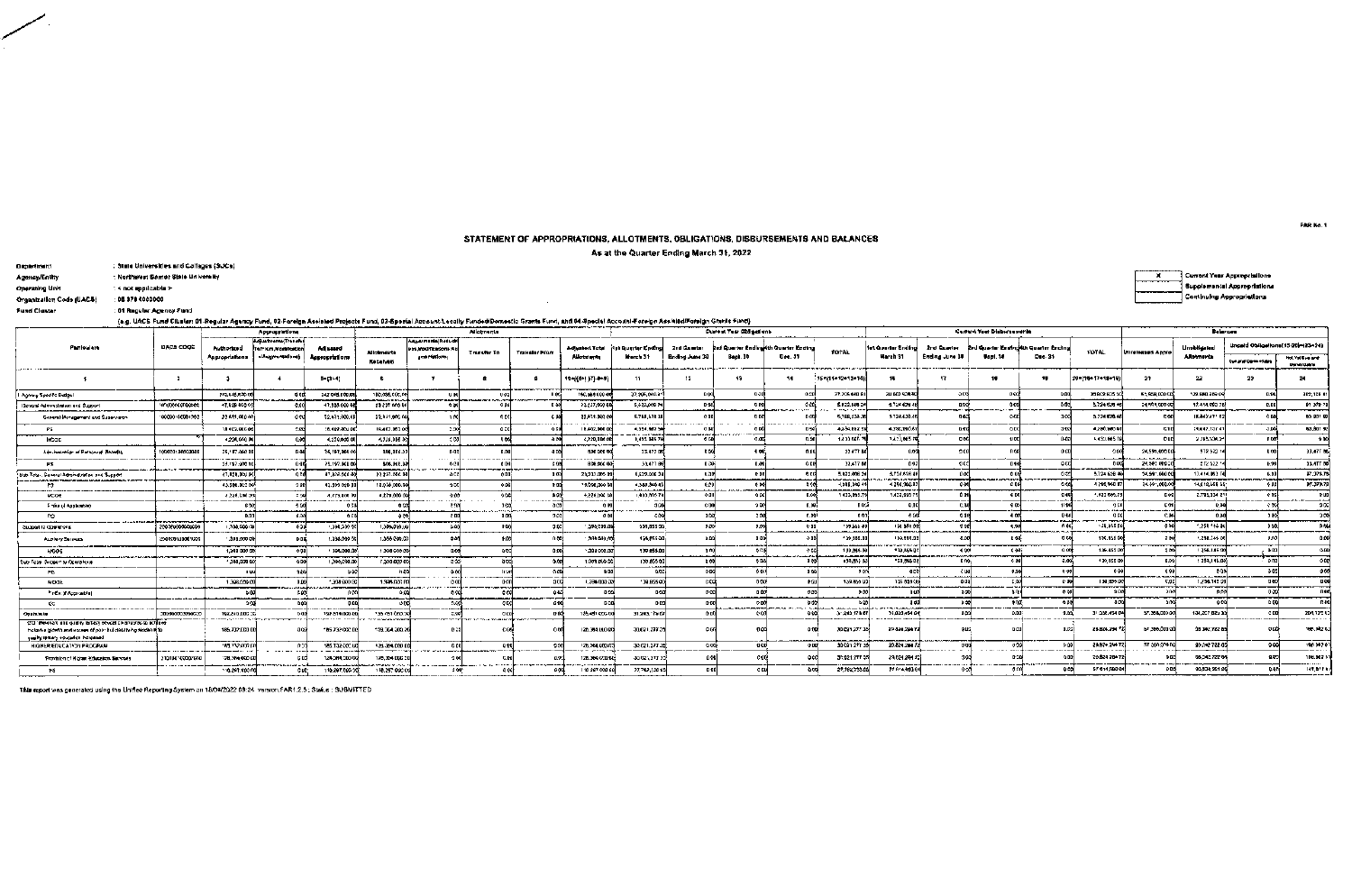## STATEMENT OF APPROPRIATIONS, ALLOTMENTS, OBLIGATIONS, DISBURSEMENTS AND BALANCES

As at the Quarter Ending March 31, 2022

 $\sim$ 

| <b>Department</b>        | : State Universities and Collages (SUCa) |
|--------------------------|------------------------------------------|
| Agency/Entity            | : Northwest Samer State University       |
| Operating Unit           | : < not mapilcable ≻                     |
| Organization Code (UAC&) | : 08.070.000000                          |
| <b>Fund Cluster</b>      | : 01 Regular Adency Fund                 |

Current Year Appropriations  $\overline{x}$ Supplemental Appropriations Continuing Appropriations

(a.g. UACS Fund Cluster: 01-Regular Agency Fund, 02-Foreign Assisted Projects Fund, 03-Special Account-Lecelly Funded/Domestic Grants Fund, and 04-Special Account-Foreign Assisted/Foreign Grants Fund)

| Approprietions<br>-------<br><b>Adjustments/Transfer</b>                                                                                                                    |                 |                                  |                                        |                                                | <b>Allatments</b>                      |                                                        |                  |                      |                        |                                                |                               | <b>Current Year Obligations</b>                        |                                         |                                       |                                             |                               | <b>Current Year Disbursemente</b> |                                                | Balances                   |                   |                                  |                                                                |                                        |
|-----------------------------------------------------------------------------------------------------------------------------------------------------------------------------|-----------------|----------------------------------|----------------------------------------|------------------------------------------------|----------------------------------------|--------------------------------------------------------|------------------|----------------------|------------------------|------------------------------------------------|-------------------------------|--------------------------------------------------------|-----------------------------------------|---------------------------------------|---------------------------------------------|-------------------------------|-----------------------------------|------------------------------------------------|----------------------------|-------------------|----------------------------------|----------------------------------------------------------------|----------------------------------------|
| Parioulars                                                                                                                                                                  | UACS CODE       | Authorized<br>Appropriations     | Te/From.Mark/leation<br>s/Automobilem) | Adjusted<br>Acoroprations                      | Allahmeinte<br>Received                | Adhasmunts Reduct<br>ras Modhizadons Au<br>umertallom. | Transfer To      | <b>Translar From</b> | Allotniente            | Adjusted Total (4s) Quertar Ending<br>March 31 | 2nd Quarter<br>Ending June 30 | <b>Brd Quarter Endingkth Quarter Ending</b><br>Bent, 3 | Dac. 31                                 | TOTAL.                                | hrt Quarter Andino<br>March 31              | 2nd Quarter<br>Ending June 30 | \$401.30                          | d Quarter Enginditin Quarter Ending<br>Dec. 31 | TOTAL                      | Unreleased Appro  | <b>LinobHgstad</b><br>Allotmonta | Ungeld Obligellone [15-20 -(23+24)<br><b>Cur and Deventure</b> | <b>Not Yet Due and</b><br>Danskridaten |
|                                                                                                                                                                             |                 |                                  |                                        | $-1 - (1 - 1)$                                 |                                        |                                                        |                  |                      | 104(0+1.)7) 4+1        | 15                                             | 12                            |                                                        | 14                                      | 15-115-12-13-1                        |                                             | -17                           |                                   | 13                                             | 20-115-17-18-191           | 22                | 22                               | 23                                                             |                                        |
| Agency Specific Budget                                                                                                                                                      |                 | 212.045.030.00<br>------         |                                        | 242 043 000 E                                  | 180,036,000.01                         |                                                        |                  |                      | 100.080.000            | 37,205,040.a                                   | 0.00                          |                                                        |                                         | 37.205 010 8                          | au 002 939.9                                |                               |                                   |                                                | 30802.835                  | 61,958,0001       | 122.880.709.09                   | n say                                                          | 302, 105 41                            |
| General Administration and Support                                                                                                                                          | imuotoganocog   | +7.829 000 C                     |                                        | 41,928,000<br>-----                            | 23.237 MOD                             |                                                        |                  |                      | 23:237,090.0           | 5,672,008.2                                    |                               |                                                        |                                         | 5.022.000.2<br><b>REPAIR SHOPPING</b> | 5,724 624 4                                 |                               |                                   |                                                | 5,724,626.40               | 24.591.000 0      | 17.414.693.76                    |                                                                | <b>07 378 78</b>                       |
| General Management and Supervalors                                                                                                                                          | 000000000000000 | 22.611.000 ft                    |                                        | 22.631.000.0                                   | 22.831.000.00                          |                                                        |                  |                      | 22,631,000 (<br>.      | 5.788,578.3<br>___                             |                               |                                                        |                                         | 5.788.526.2<br>____                   | 5724,620.40                                 |                               |                                   |                                                | 3.724.020.4                |                   | 15.042.471.0                     |                                                                | <b>63 PP1 G</b><br>___                 |
| PS.                                                                                                                                                                         |                 | 18402.00000                      |                                        | 10.402.000.01                                  | 18.402.003.0                           | 2.00                                                   |                  |                      | 18,402,000 0           | 4.954, RB2 5<br>--------------                 |                               |                                                        |                                         | 4234.8625                             | 4.250,000.0                                 |                               |                                   | ായി                                            | 4,290,300.0                |                   | 14.047.137                       |                                                                | 63,801 92                              |
| MCOE                                                                                                                                                                        |                 | +230,000 00                      |                                        | 4.279,000 0<br>----                            | 4.229.000.0                            | le cynt                                                |                  | <b>AN</b>            | 4.229.000              | 1,433 085 76                                   |                               |                                                        | 0.50                                    | 1.433.0051                            | 1,423,005 P                                 |                               | uccl                              | -e oal                                         | 1.430.0057                 |                   | 2781,301.2                       |                                                                | 100                                    |
| Administration of Personnel Benefits                                                                                                                                        | 100000100002000 | 25.187,000.00<br>$-$ - $-$ - $-$ |                                        | 25, 187, 000 (<br>والمحاسب                     | 006,000.0<br>--------                  |                                                        |                  |                      | 506 0001<br>-------    | 33,477 0                                       |                               |                                                        |                                         | 324771                                | 0.00                                        |                               |                                   |                                                |                            | 24,591,000.0      | 572,522.1                        |                                                                | 33,477 BO                              |
|                                                                                                                                                                             |                 | 25,197,000 ft                    |                                        | 25,197,000.0                                   | 006.000.                               |                                                        |                  |                      | <b>BDB ACC 00:</b>     | 334718                                         | n ook                         |                                                        | A BI                                    | 33,477 0                              | 0.03                                        |                               |                                   | 6 cC                                           |                            | 24.50, 000        | 672 522                          |                                                                | 33.417.00                              |
| Sub-Total, General Administration and Support                                                                                                                               |                 | 47.828.000.0<br><del>.</del>     |                                        | 47.825.000.00                                  | 23:237.006.0<br>——                     |                                                        |                  | <b>D.O.Y</b>         | 23,231,000.00          | 5,529,006.24                                   | -8.70                         |                                                        | 有口的                                     | 5.822.005.2<br>ساسا واستعاص           | 5.121.116 46<br><b>Machines State State</b> | 14                            |                                   | occi                                           | 5.724 628 4                | 24.591.000 0      | 17,414,993.76                    |                                                                | 87.379.76                              |
|                                                                                                                                                                             |                 | 43.586.0020                      |                                        | 43.599 000 00                                  | 18.008.000.0                           | -955                                                   |                  |                      | 19.008.300.00          | 4.388.340.4                                    |                               | 0.00<br>سمد                                            |                                         | 4,308,340.4                           | 4.290.346.87<br>————                        | 0.60                          | 0.00<br>-----                     |                                                | 4 780,980 E                | 24.591,000.       | 14.612,659 55                    |                                                                | 97.379.78                              |
| MCOE                                                                                                                                                                        |                 | 4.229.000.0<br>---               |                                        | 4,729,000.00<br><b>LESS CARS NO COLORED AT</b> | 4,279,000 0                            | 4.05<br>.                                              |                  |                      | 4,229,000 00           | 1.433.MS 76                                    |                               | oco                                                    |                                         | 1433,005.                             | 1.423,665.7                                 |                               | cm                                |                                                | 1.133500                   | D O               | 2.795,334.21                     |                                                                |                                        |
| Finite (4 Applicable)                                                                                                                                                       |                 | 0 V                              |                                        |                                                |                                        |                                                        |                  | _                    | -------                | 30                                             |                               | 200                                                    | 0.00                                    | <b>DOS</b>                            | Gine                                        |                               | 90%                               |                                                | ------                     | -----             | -66<br>استعملت                   |                                                                |                                        |
| CO.                                                                                                                                                                         | ,,,,,,,,,,,,,,  | 0.03<br>$    -$                  |                                        | -aco                                           |                                        | - 00                                                   | 0.00             | pccl                 |                        | εA                                             |                               |                                                        | 0.001                                   | nna:                                  | a co                                        | 0.00                          | A O                               | <b>B-04</b>                                    |                            |                   | 0 <sub>m</sub>                   |                                                                |                                        |
| Suasad la Clastations                                                                                                                                                       | 2003/000000000  | 1.398.0001X<br>-------           | 600                                    | 1,098,200.90<br>. <del>.</del>                 | 1.306.000.00<br>____                   |                                                        |                  | 5.66                 | 1,398,000.00           | 139,855.00                                     | n oni                         |                                                        | 0.00                                    | 129,505.01                            | - 145 885 98                                |                               | <b>u</b> od                       | 6.60                                           | -39,855.0                  | and               | 258 145 00                       |                                                                |                                        |
| ALL MAY SERVES                                                                                                                                                              | 290000100001000 | 1,398,990.0<br>.                 |                                        | 1.198.0000                                     | 1,398,000.0                            |                                                        |                  |                      | 388,600.00             | 1.74,855.00                                    |                               |                                                        |                                         | 139,585.0                             | 133,506.3<br><b>TAVTO</b> r                 |                               | u ar                              | <b>DEN</b>                                     | 136.055.0                  | 7152              | 1.258.145.00                     |                                                                |                                        |
| <b>ANDOE</b>                                                                                                                                                                |                 | 1,398,000 %                      |                                        | 1 354,000.00                                   | 1.398 600 0<br>-----                   | -9.9                                                   |                  |                      | $^{\circ}$ .388.000.00 | 139.855.00                                     | 3.00                          |                                                        | and allows a first see policy of a fact | 139,855.00<br>-------                 | 170,855.0<br>--------                       | a cen<br>na sanan da          | c on:                             | 000                                            | 135.655.0                  | ാമി               | 1256.145.00                      |                                                                |                                        |
| a-Total Sirolon a Oceraford                                                                                                                                                 |                 | 1,398,000.00                     | o real                                 | 1,398,000.00                                   | 1,398,000.00                           | - 240                                                  |                  |                      | 1.388.000.00           | 138,055.00                                     | c <sub>n</sub> b              | 650                                                    |                                         | 130,855.0                             | "59, MG B                                   |                               |                                   | -0.006                                         | 139,855.00                 | -nooi             | 1258,145.00                      |                                                                |                                        |
|                                                                                                                                                                             |                 | 11.98                            | 446                                    |                                                | -0.00                                  |                                                        |                  |                      | 0.00                   | oscl                                           | 0.50                          | 0.00                                                   | n sal                                   | -80                                   | o r                                         |                               | 0.00                              |                                                | 0.00                       | 0.98              | 600                              |                                                                |                                        |
| MOUE                                                                                                                                                                        |                 | 1,398,000.00                     |                                        | 1,398,900 B                                    | 1.308.0001                             |                                                        |                  |                      | 1,336,000.00           | 139.855.00                                     | n fre                         | 1000                                                   |                                         | 139,869.92                            | 139 856 0<br>ستحسب ومد                      |                               | nа.                               | 0.00                                           | 13085500                   | cacl              | 1,258,145.00                     | 11.64                                                          |                                        |
| Finds: St Applicable                                                                                                                                                        |                 | 6.00<br>-------                  |                                        |                                                |                                        |                                                        |                  |                      | -0.000                 | no⊲d                                           | 0.00                          | a áoi                                                  |                                         |                                       |                                             |                               | h.A                               | o nal                                          | -0.00                      |                   | -0.50                            | 8 M                                                            |                                        |
| ¢a                                                                                                                                                                          | ______          | 200                              |                                        |                                                |                                        |                                                        |                  |                      |                        | <b>D.D.</b>                                    |                               | D <sub>DO</sub><br>-----------------                   |                                         |                                       | <b>The Property States</b>                  |                               | n a<br>.___                       | o co                                           |                            |                   |                                  |                                                                |                                        |
| Opphulari                                                                                                                                                                   | 100000000000000 | 192.5 (0.000 35)<br>-----------  | . <del>.</del>                         | 192 819.000 001                                | 135-151-080-00<br><b>Manufacturers</b> | _________                                              | . <del>. .</del> |                      | 135.481.000.00         | 31 243 75 67                                   |                               |                                                        |                                         | 31.243.179.67                         | 31.039.454.04                               |                               |                                   | -0.00                                          | 31.038.4541                | 57.368.000.0      | 134,207,829                      |                                                                | 204,725 U<br>------                    |
| CO : Reserva V ano qual e lantary obucal on anextro to achiave<br>theight a crown and voces of paching describe akidential<br><sub>l</sub> ugiky remary ecucation increasad |                 | 185,732,000 00                   |                                        | 185.732 000.00                                 | 178,364,300.3<br>_____                 |                                                        |                  |                      | 120.314.000.00         | 30,071.277.39                                  |                               | 9.00                                                   |                                         | 30 021,277                            | 29 424,204 7                                |                               |                                   | 0.001                                          | 29.824.294 1               | 67,386,000        | 08 342,722 8                     |                                                                | 185.PR 6                               |
| HOMER EDUCATION PROGRAM                                                                                                                                                     |                 | 111712-0021<br>___               | A IT<br>. <b></b>                      | 186.132.300<br>$   -$                          | 126.384.000.00                         | 66<br>The state of the contract of the state of the    |                  | 200                  | 128,364,000.00         | 30.621.277.3                                   | 0.006                         | -0.00                                                  | n na                                    | 30 021 277 39                         | 20.824.2947                                 |                               |                                   | ¢ûl                                            | 20.074.204.12<br>--------- | 57 368 O.M.D<br>. | 98.342 722.6                     | occi                                                           | 100 002 0<br>----                      |
| Provision of Higher Education Services                                                                                                                                      | 31010010002010  | 128.354.0001<br>——               |                                        | 124, 384, 300 0                                | 170.354 DCC<br><b>STANDS</b>           |                                                        |                  |                      | 128.354.000.00<br>.    | 30.021.277.35                                  |                               |                                                        |                                         | 30.021.777                            | 29.821.294.10<br>___                        |                               |                                   |                                                | 28.824.784                 |                   | 58.342.722.04                    |                                                                | 108.807<br>                            |
| FS.                                                                                                                                                                         |                 | 110,291,000 M                    |                                        | 115,207,000 %                                  | 118,297,000.0                          |                                                        |                  |                      | 118-207-000-00         | 27.762.238.05                                  |                               |                                                        |                                         | 27,782,753.05                         | 77814,000.0                                 |                               |                                   |                                                | \$7.614,2003               |                   | 90,534,2611                      |                                                                | <b>TATION</b>                          |

This report was generated using the Unified Reporting System on 18/04/2022 09:24 version:FAR1.2.5; Status : SUBMITTED

FAR No. 1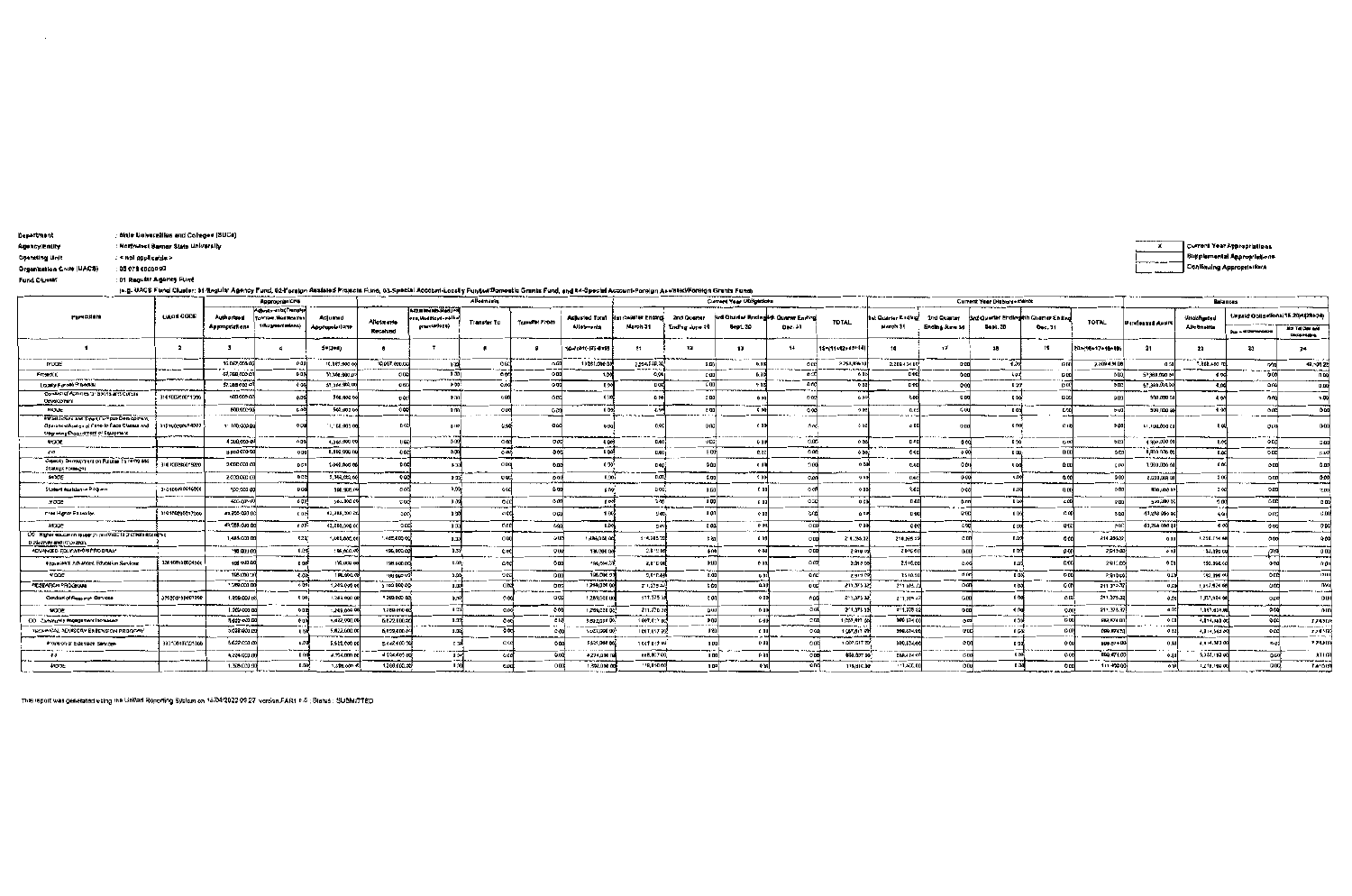| Department                                                                                                                          |                                                                                                                                                                                                                                        | State Universities and Colleges (SUCe) |                                   |                                        |                            |                    |                                  |                |                 |                       |                                             |                |                                      |                                                         |                                                                                                                                      |                         |                |                                      |                                 |                    |                                 |                           |                                    |                         |
|-------------------------------------------------------------------------------------------------------------------------------------|----------------------------------------------------------------------------------------------------------------------------------------------------------------------------------------------------------------------------------------|----------------------------------------|-----------------------------------|----------------------------------------|----------------------------|--------------------|----------------------------------|----------------|-----------------|-----------------------|---------------------------------------------|----------------|--------------------------------------|---------------------------------------------------------|--------------------------------------------------------------------------------------------------------------------------------------|-------------------------|----------------|--------------------------------------|---------------------------------|--------------------|---------------------------------|---------------------------|------------------------------------|-------------------------|
| Agency/Entity                                                                                                                       |                                                                                                                                                                                                                                        | Northwest Samar State University       |                                   |                                        |                            |                    |                                  |                |                 |                       |                                             |                |                                      |                                                         |                                                                                                                                      |                         |                |                                      |                                 |                    |                                 |                           | <b>Current Year Appropriations</b> |                         |
| Operating Unit                                                                                                                      | < not opplicable >                                                                                                                                                                                                                     |                                        |                                   |                                        |                            |                    |                                  |                |                 |                       |                                             |                |                                      |                                                         |                                                                                                                                      |                         |                |                                      |                                 |                    |                                 |                           | <b>Bugglemental Appropriations</b> |                         |
| Organization Code (UACS)                                                                                                            | <b>05 078 0000000</b>                                                                                                                                                                                                                  |                                        |                                   |                                        |                            |                    |                                  |                |                 |                       |                                             |                |                                      |                                                         |                                                                                                                                      |                         |                |                                      |                                 |                    |                                 | Conlinuing Approprisilent |                                    |                         |
| Fund Cluster                                                                                                                        | : 01 Regular Agency Fund                                                                                                                                                                                                               |                                        |                                   |                                        |                            |                    |                                  |                |                 |                       |                                             |                |                                      |                                                         |                                                                                                                                      |                         |                |                                      |                                 |                    |                                 |                           |                                    |                         |
|                                                                                                                                     | (a.g. UACS Fund Cluster: 01-Regular Agency Fund, 02-Foreign Assisted Projects Fund, 03-Special Account-Locally FundsdiDomestic Grants Fund, and 04-Special Account-Poreign Assisted/Foreign Grants Fund)<br>Current Year Disbursements |                                        |                                   |                                        |                            |                    |                                  |                |                 |                       |                                             |                |                                      |                                                         |                                                                                                                                      |                         |                |                                      |                                 |                    |                                 |                           |                                    |                         |
|                                                                                                                                     |                                                                                                                                                                                                                                        |                                        |                                   | <b>Appropriations</b>                  |                            |                    |                                  | Alloimanis     |                 |                       |                                             |                | Current Year Obligations             |                                                         |                                                                                                                                      |                         |                |                                      |                                 | <b>Balances</b>    |                                 |                           |                                    |                         |
| Particulars                                                                                                                         |                                                                                                                                                                                                                                        | <b>UAGE CODE</b>                       |                                   | iotostmanta (Transfe                   |                            |                    | Adjustments Reduct               |                |                 | <b>Adjusted Total</b> | <b>Hat Quarter Ending</b>                   | 2nd Querter    |                                      |                                                         |                                                                                                                                      | t Quarter Endhed        | 2nd Quarter    | Grd Quarter Ending th Quarter Ending |                                 |                    |                                 | Unobligator               | Unpaid Obligations (15.20)에23+24)  |                         |
|                                                                                                                                     |                                                                                                                                                                                                                                        |                                        | Authorized<br>Appropriations      | To From Modificatio<br>srAugmentmions) | Adjusted<br>Appropriations | Altotmente         | Modifications Mu<br>gmentellone) | l'Islamen To   | Teampror From   | <b>Allabments</b>     | March 31                                    | Ending lune 10 | <b>Bept. 30</b>                      | Sed Quarter Enging 4th Quarter Enging<br><b>Dec. 31</b> |                                                                                                                                      | March 31                | Ending June 3  | <b>Gept. 3D</b><br>Dec. 31           |                                 | <b>TOTAL</b>       | Uateleated Appro                | Allounaitta               |                                    | Mot Tel Day and         |
|                                                                                                                                     |                                                                                                                                                                                                                                        |                                        |                                   |                                        |                            | Recolved           |                                  |                |                 |                       |                                             |                |                                      |                                                         |                                                                                                                                      |                         |                |                                      |                                 |                    |                                 |                           | <b>Due and Demondabl</b>           | <b>Department</b>       |
|                                                                                                                                     |                                                                                                                                                                                                                                        | $\overline{\mathbf{z}}$                |                                   |                                        | 5=(3+4)                    |                    |                                  |                | -9              | 104(64(-17) 4+9)      | $^{\bullet}$                                | 12             | 13                                   |                                                         | 15411012+13+14                                                                                                                       | 16                      | 17             | 18                                   | 19                              | 201110+17+18+19)   | 21                              | 22                        | 23                                 | 24                      |
| <b>MODE</b>                                                                                                                         |                                                                                                                                                                                                                                        |                                        | 16.067.000.00                     | 0.00                                   | 10.087.000.0               | 10.067.000.00      | 0.00                             | 000            | 9.00            | 10,067,000            | 2.254.539.30                                | C.CC           | 0.00                                 | occi                                                    | 2.258,539.1                                                                                                                          | 2,209 434 08            | D DH           | 0.30                                 | 0N                              | 2,209 4 M.D        | -ar                             | 7.200.400 *               |                                    | 40,504 22               |
| <b>Frostof</b>                                                                                                                      |                                                                                                                                                                                                                                        |                                        | 47.388.000 CO                     | <b>CD</b>                              | 37.368.0001                | <b>OB</b>          | 0.501                            | oork           | -----<br>Q BE   |                       | <b><i><u><b>ARRESTS</b></u></i></b><br>0.06 |                | n a                                  | n sel                                                   | <b>The Contract Contract Contract Contract Contract Contract Contract Contract Contract Contract Contract Contract</b><br>6 BC<br>-- | 0.99<br>$-$             | 0 <sub>0</sub> | 0-32                                 | D-D4                            | 0.05               | 57,388,070.0                    | ¢odi                      |                                    | — v.m.<br><b>n</b> bo   |
| Loughy-Funded Projection                                                                                                            |                                                                                                                                                                                                                                        |                                        | \$7,388,000.00                    | 0.00                                   | 57,368,000.00              | 9,500              | 75                               |                | o aci           |                       | 0.00                                        | <b>C 00</b>    | 4.00                                 | a ocl                                                   | ene                                                                                                                                  | 0.00                    | 0.00           | 0.001                                | D.BI                            | QCDC               | 57,368,000.0                    | acci                      | o ca                               | $-0.00$                 |
| Conduct of Activities for Sports and Cunstie<br>Davelopment                                                                         |                                                                                                                                                                                                                                        | 310100200011200                        | 500,000 00                        | Q.D                                    | 500,000.0                  | 900<br>.           | n sol<br>-----                   | 000            | <b>ODG</b>      |                       | 0.10                                        | c n            | 0.5                                  |                                                         | 6B                                                                                                                                   | $0 - 0$                 | <b>CB</b>      | D-00°                                | D.30                            | 005                | 500,000 0                       | 000                       |                                    | 0.00                    |
| <b>NXJUE</b>                                                                                                                        |                                                                                                                                                                                                                                        |                                        | 500,000 0                         | 6.00                                   | 500,000 0<br>              | ംപ                 | $R-0.0$                          | 000            | 0.00            | 0.02                  | 0.00                                        | e aa           | <b>C 00</b>                          | 0.00                                                    | 000                                                                                                                                  | 0.cal                   | G UU           | <b>002</b>                           | <b>D.DD</b><br>and the state of | n aa               | 500,000.00                      | 0.00                      | 000                                | 0.00                    |
| Uthaniaudure and Sineri Cempus Development,<br>Ciparationalized on of Fune-to-Face Classes and<br>Ung sang Procurement of Equipment |                                                                                                                                                                                                                                        | 31010020014000                         | 11/100,000.00                     | 0.00                                   | 11,100,000.0               | -no ocl            | <b>U.UO</b>                      | 250            | accl            |                       | 6.OC.                                       |                | e m                                  | and                                                     |                                                                                                                                      | 000                     | 0.00           | 0.00                                 | C IX                            | 2.0                | 11.100,000 CO                   | 0 Q                       | 0.00                               | 5-60-                   |
| <b>ANOOK</b>                                                                                                                        |                                                                                                                                                                                                                                        |                                        | 4 300,000 00                      | 0B                                     | 4,300,0001                 | اهه را             | 00                               | ായി            | 0 OC!           | -၁ 00%                | 0.00                                        | o cei          | c au                                 | <b>O.DEF</b>                                            | 0B                                                                                                                                   | $0 - 10$                | 0.00           | 0.90                                 | 0.00                            | o es               | 1 300,000 0                     | 0.00                      |                                    | 0.00                    |
| 60                                                                                                                                  |                                                                                                                                                                                                                                        |                                        | 8 833 633 63                      | 0.001                                  | 8,800,000 C                | 060<br>---         | 0.0<br><b>COLOR</b>              | 000            | o oci           | <b>DOM</b>            | 0.001                                       | <b>6 001</b>   | <b>A</b> cci                         | o aci<br>---                                            | 0D2                                                                                                                                  | 0.46                    | 0.00           | ma ani<br>0.001                      | p.aal                           | <b>O CD</b>        | 8,800 GGD 00<br><b>THEMAN A</b> | n.ccl                     | <b>C-DE</b>                        | 0.00                    |
| Capacity Demigrantin on Future Three gard<br><b>Strategic Formach</b>                                                               |                                                                                                                                                                                                                                        | 310100300015000                        | 2,000 001 00                      |                                        | 2/000.0001                 |                    | 0.3                              | opa            | 0.00            |                       | 0.00                                        |                | $0 - 0$                              |                                                         | n B                                                                                                                                  | C-U                     | C OH           | 0.40                                 |                                 | <b>GB</b><br>---   | 2,390,300.00                    | aoul                      |                                    | c.o                     |
| <b>SHOCKE</b><br>فسنته والمستردف و                                                                                                  |                                                                                                                                                                                                                                        |                                        | 2.000,000 CB                      | occi                                   | 7,390,000.0                | 0 <sub>0</sub>     | a-aoi                            | 000            | 0.00            | 1.00                  | ಕೂಡ                                         | 6.00           | 200                                  | <b>O ONE</b>                                            | $-250$                                                                                                                               | 0.uel                   | 000            | <b>U.00</b>                          | 0.00                            | 0.00               | 2.030,000.00                    | aco                       | 00                                 | 0.00                    |
| Sludent Assistance Prince on                                                                                                        |                                                                                                                                                                                                                                        | 310100202016000                        | 500,000.00                        |                                        | 500.000.0                  | 50%                | n cea                            | <b>acc</b>     | $C$ 00          | p ner                 | 500                                         |                | C B                                  |                                                         | o n                                                                                                                                  | 042                     | <b>AC</b>      | 0.0                                  |                                 | 0.00               | 500,000.01                      | 300<br>$-$                |                                    | 0.01                    |
| <b>NOCE</b>                                                                                                                         |                                                                                                                                                                                                                                        |                                        | 500 000.0<br>$-111777744$         | e col                                  | 500,000 0                  | <b>COO</b>         | 0 <sub>0</sub>                   | 000            | o ev            | 0.00%                 | 0.00                                        | 000<br>--+--   | n ool                                | acel                                                    | 000                                                                                                                                  | 0.00                    | $0-11n$        | D-34                                 | a ba                            | o ani              | 5:0,000.0                       | 2.00<br>$\cdots$          | 0B                                 | c oo                    |
| Free Hangri Eq. leader                                                                                                              |                                                                                                                                                                                                                                        | 310100205617000                        | 43,766,000 0                      | c oci                                  | 43,288,000 0               | ാര്                | 0 <sub>0</sub>                   | occ            | 000             | 11.50                 | J oo.                                       |                | C <sub>0</sub><br>$rac{1}{\sqrt{2}}$ | occ.<br>- व्हर                                          | 0P                                                                                                                                   | 0.00                    |                | 0.05                                 | 0.55                            | <b>BM</b>          | 41.208 000 00                   | 0 <sup>o</sup><br>000     | 0 BC                               | 0.00<br><b>D</b> DC     |
| <b>MODE</b>                                                                                                                         |                                                                                                                                                                                                                                        |                                        | 43,254, 900.0                     | 6.00                                   | 43,280,000 0               | acd                | 0.03                             | nre            | 6.09            | 0.00                  | <b>2007</b>                                 | e oul          |                                      |                                                         | 0.09                                                                                                                                 | 0.00                    | c ac           | taat                                 |                                 | onel               | 43,268 900 00                   |                           |                                    |                         |
| 00 Migher equations research immoved to promote economic<br>book druhu and impossible                                               |                                                                                                                                                                                                                                        |                                        | 1,485,000.0                       | c.oa;                                  | 1,85,000.0                 | 0 005,389.         | 0.33                             | g p            | è ut            | 1,485,000 00          | 214,7857                                    |                | a nol                                | 0.00                                                    | 214.065.32                                                                                                                           | 210,385.3               | c on           | 0.00                                 | 6.00                            | 214 285,32<br>$-1$ | 00                              | 1,250,714.68              | 00                                 | 00                      |
| <b>ADVANCED FOUCATION PRODRAM</b>                                                                                                   |                                                                                                                                                                                                                                        |                                        | 150,000.00                        | <b>0.0%</b>                            | 196,000,00                 | 196,000.C          | 0.02                             | <b>coc</b>     | Q UU            | 196,000.0             | 2.B 10 U                                    |                | a-nal                                | 060                                                     | 2 PIUIX                                                                                                                              | 2010/01                 | 0.00           | <b>DÒ</b><br>_______                 | a oni                           | 2,915.00           | 001                             | 13,000.00<br>-----        | 000                                | 0 0 0<br>               |
| From an of Advanced Education Services                                                                                              |                                                                                                                                                                                                                                        | 120109100091000                        | 198,000.0                         | 0.00                                   | 196.000.00                 | 198,990.0          | 6.00-                            | ūΝ             | o aal           | 108.000.00            | 2,8100                                      |                | 600                                  | o ca!                                                   | 2.910.0                                                                                                                              | 2.9+0.20                |                | nog                                  | c.ocl                           | 291000             | 02                              | 133,090.00                |                                    | 0.00                    |
| VODE                                                                                                                                |                                                                                                                                                                                                                                        |                                        | 198,000 %                         | <b>C.OC.</b>                           | 196,000.00                 | <b>HAI GUO DO?</b> | 9.90<br>er ma                    | 9.09           | 0.00            | 186,000.23            | 2,910.004                                   |                | 6.00                                 | one'                                                    | 251900                                                                                                                               | 2510.00                 | <b>p</b> in    | 0.00                                 | 0.00                            | 2,910.00           | 0£I                             | 193,090.00                | O <sub>C</sub>                     | 12.00<br>$\overline{B}$ |
| <b>RESEARCH PROGRAM</b>                                                                                                             |                                                                                                                                                                                                                                        |                                        | 1:209.000.0                       | 00.7                                   | 1,262,009.00               | 1 280 000 00       | n.n                              | 0 <sub>D</sub> | 0.05<br>------- | 1259,0006             | 2" 1,375 37                                 | c cal          | 0.06                                 | 000                                                     | 211.375.325                                                                                                                          | 211 115 12<br>$-11 - 4$ | oon            | 0.03                                 | o ani                           | 211 375.32         | 0 <sub>0</sub>                  | 1,057,024 00              | 000                                | $1 - 1 - 1$             |
| Conduct of Passer of Services                                                                                                       |                                                                                                                                                                                                                                        | 32920310001000                         | 1,209,000 p                       | 0.007                                  | 1.263.000 0                | 1209,000 00        | 0.5                              |                | a col           | 1.269,000 00          | 211.375 L                                   | c on           | 000                                  | 100                                                     | 211,375.32.                                                                                                                          | 211,375.32<br>          | 5.00           | 0 <sub>0</sub>                       | O <sub>0</sub>                  | 211.375.33         | -a ry                           | 1,057,074.02              |                                    | <b>D UHI</b><br>----    |
| <b>WOOE</b><br>------                                                                                                               |                                                                                                                                                                                                                                        |                                        | 1,209 000 0                       | 000                                    | 1,209,000 0                | 1,280,000 €        | 0.32                             | 0.0            | 0.00<br>-- --   | 1,209,020 02          | 211.076.3                                   | o uu           | 6.00                                 | 300                                                     | 2'1.375.32                                                                                                                           | 211.375.32              | 000            | 44                                   | 0.00                            | 211,378.33         | $a \alpha$                      | 1,057,074.00              | ara                                | - OHIO                  |
| GO Conversity engagement increases                                                                                                  |                                                                                                                                                                                                                                        |                                        | 1.022 008.D                       |                                        | 5,622,000.0                | 5,522,000,00       | 0.3%                             | 0 oci          | C MB            | 5.622.000.00          | 1:007.617.00                                | 0.00           | 0.00                                 | $C = 50$                                                | 1,007,417.00<br>---                                                                                                                  | 980 874 00              | - o aol        | 0.55                                 | <b>D-DO</b>                     | 887,574 0          | 0 <sup>c</sup>                  | 4,574,389.00              | OCC                                | 7,7431.0<br>$- - - -$   |
| TECHNON, NOVISORY EXPENSION PROGRAM                                                                                                 |                                                                                                                                                                                                                                        |                                        | 5.622.000.00                      |                                        | 5,622,000.0                | 6,622,000 0        | <b>U.SU)</b>                     | 000            | 0.36            | 5.627,000.00          | 1007.617.02                                 |                | c nol                                | 0.60.                                                   | 1,067,617.0                                                                                                                          | 980.871.00              | e ocl          | <b>n c/s</b>                         | o an                            | 099 874 00         | o cal                           | 4.814,583.00              | 0 <sup>o</sup>                     | 2,74 4 12               |
| Prophon of Edention Services                                                                                                        |                                                                                                                                                                                                                                        | 333106100001000                        | 5.622.000.00<br><b>STATISTICS</b> |                                        | 5.622.000.0<br>__.         | 5,632,600.00       | C 36<br><b>CONTRACTOR</b>        | G 9            | 00              | 5.622,000.00          | 1 007 817 00                                | n <sub>n</sub> | D 01                                 | 0.00                                                    | 1,007.617 00                                                                                                                         | 999.674.0               | c n<br>$-$     | n g                                  | 00                              | <b>DD9 874 08</b>  |                                 | 4,014,303.00              | $-0.01$                            | <b>T ZAJIN</b><br>ATLM  |
| 59                                                                                                                                  |                                                                                                                                                                                                                                        |                                        | 4,224.000.00                      |                                        | 4.224.000.0                | 4.224,009.00       | u o                              | 4CC            | 0.00            | 4,224,000 hp<br>----- | 888,807.00                                  | 0.00           | 15.00                                | CLDB.                                                   | <b>\$58,677 DC</b>                                                                                                                   | ERR.4740                | $c$ DO         |                                      | 00                              | BBB 474.00         |                                 | 3,355,193 00              | 660                                | -----                   |
| <b>ANJIDE</b>                                                                                                                       |                                                                                                                                                                                                                                        |                                        | 1.305.000.00                      | 0.00                                   | 1,398,000.0                | 1,399,000.30       |                                  | 6.00           | 000             | 1,398,000.00          | 18,810.00                                   | 0.00           | o ac                                 | 0 DC                                                    | 116, 810.00                                                                                                                          | 11:400.00               | OBu            |                                      | 0 <sub>CD</sub>                 | 11140000           | osal                            | 1,278,100.00              | <b>D.DO</b>                        | 7,41013                 |

This report was generated valing the Unified Reporting Systom on 18/04/2022 09:27 version.FAR1.2.5 ; Status : SUBMITTED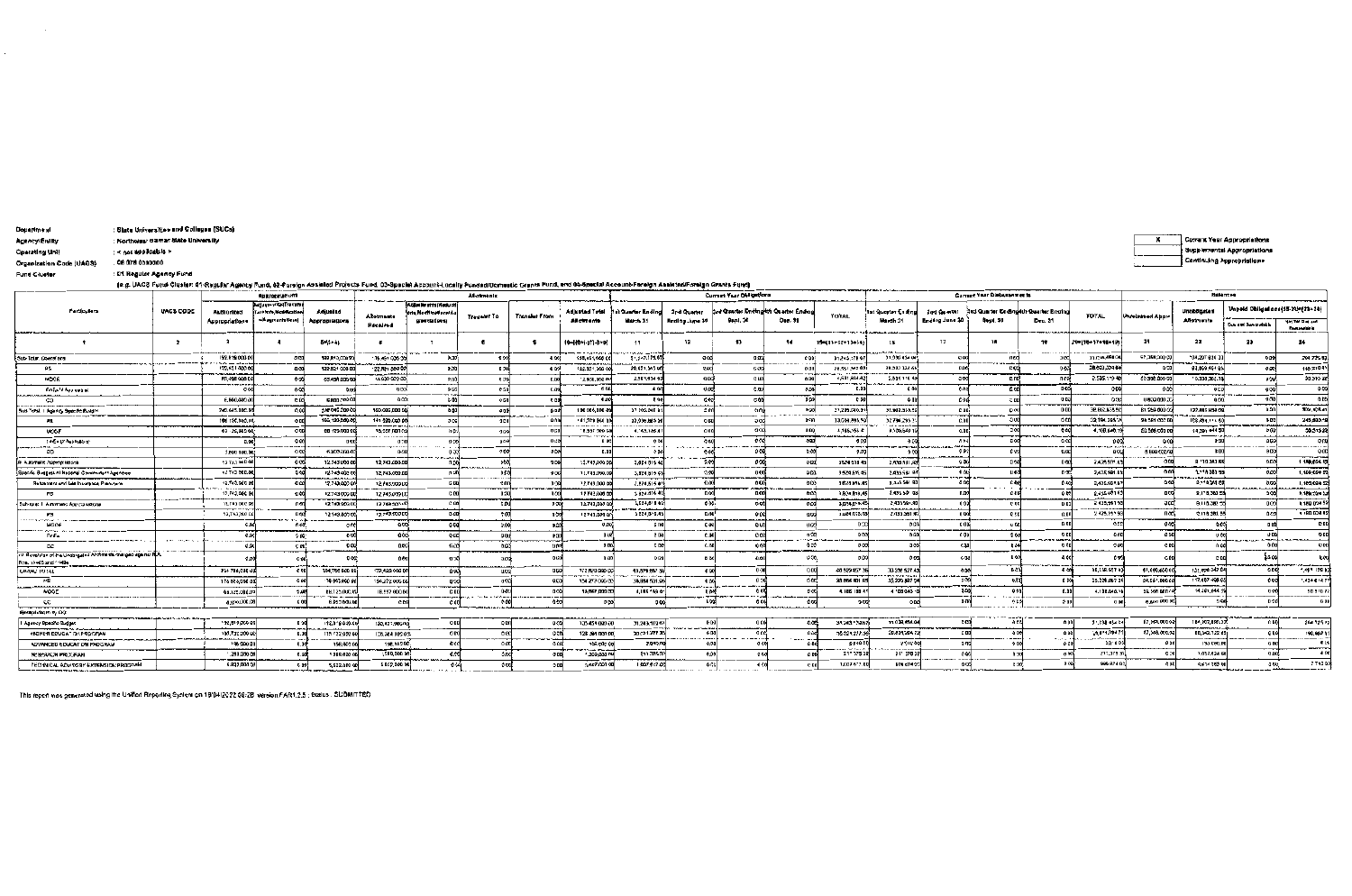| <b>Department</b> | : State Universities and Collegea (SUCs) |
|-------------------|------------------------------------------|

Agency/Enlity : Northwest Sumar State University

: < not applicable >

Operating Unit

Organization Code (UACS) : 08 078 0000000

Fund Cluster : Et Regular Agency Fund

(e.g. UACS Fund Cluster: 01-Regular Agency Fund, 02-Foreign Assieted Projects Fund, 03-Special Account-Locally Funded/Domestic Grants Fund, and 04-Special Account-Foreign Asabrad/Foreign Grants Fund)

| $\mathbf{f} = \mathbf{f}$ , and $\mathbf{f} = \mathbf{f} + \mathbf{f}$ , and $\mathbf{f} = \mathbf{f} + \mathbf{f}$ , and $\mathbf{f} = \mathbf{f} + \mathbf{f}$ , and $\mathbf{f} = \mathbf{f} + \mathbf{f}$<br><b>Annroprintions</b> |                      |                                                     |                                                              |                            |                               |                                                                  | Alkatantuniu      |                               |                                                                   |                                        |                                      | Current Year Obligations                        |                                |                                             |                                                   |                               | Current Year Distussements |                                                   | Balancea             |                                                                  |                                             |                                                                 |                                        |
|----------------------------------------------------------------------------------------------------------------------------------------------------------------------------------------------------------------------------------------|----------------------|-----------------------------------------------------|--------------------------------------------------------------|----------------------------|-------------------------------|------------------------------------------------------------------|-------------------|-------------------------------|-------------------------------------------------------------------|----------------------------------------|--------------------------------------|-------------------------------------------------|--------------------------------|---------------------------------------------|---------------------------------------------------|-------------------------------|----------------------------|---------------------------------------------------|----------------------|------------------------------------------------------------------|---------------------------------------------|-----------------------------------------------------------------|----------------------------------------|
| Particulars                                                                                                                                                                                                                            | <b>UACS CODE</b>     | Authorized<br>Appropriations                        | diumontal Transfer<br>Miron Modificatio<br>als egments tens) | Adjusted<br>Appropriations | <b>Allotmants</b><br>Recaived | Added for pinth (Aledu of<br>n Modification N<br>grave stations) | Transfer To       | Franciat From                 | <b>Adjusted Total</b><br>Anotments                                | <b>Hat Quarter Endin</b><br>March 31   | 2rd Quarter<br>Ending Jury 30        | Brd Quarter Endingkth Quarter Endio<br>Sept. 30 | Dec. 31                        | <b>TOTAL</b>                                | ist Querter Ending<br>March 31                    | 2nd Quarter<br>Ending June 30 | Sept. 30                   | 3rd Quarter Ending 4th Quarter Briding<br>Dec. 31 | <b>TOTAL</b>         | <b>Unrelessed Appro</b>                                          | <b>Unoblinated</b><br>AAdtments             | Unpaid Obligations (15-20)=(23+24)<br><b>Oue and Demandable</b> | You Till Due and<br><b>Description</b> |
|                                                                                                                                                                                                                                        | - 2                  | <b>PERMIT AREA LAW</b>                              |                                                              | 5-13+41                    |                               |                                                                  | $\bullet$         |                               | $10 - 10 - 17 - 3 - 9$                                            | 13                                     | 12                                   | 13                                              | 44.                            | 19411+12+13+14)                             | 18                                                | 17                            | 18                         | $10^{\circ}$                                      | Z0+115+17+16+101     | 21.                                                              | 22                                          | 33                                                              |                                        |
| Sub-Tatar, Operators                                                                                                                                                                                                                   | . <b>.</b>           | 192,819,000 00<br><b>CONTRACTOR</b> CONTRACTOR      |                                                              | 182.8* 0.CD0.0<br>-------  | 135,451,000.0                 | 0.302                                                            | 0 <sup>0</sup>    |                               | 135, 151, 000 (<br>----------                                     | 31.243.179.67                          | a or                                 | 0.9 <sub>2</sub>                                |                                | 31.245.178.92                               | 21.038.454.04                                     |                               | 0.00                       |                                                   | 31.038.454.04        | 51,388,000.0                                                     | 104.207 820<br>$v = 1$                      |                                                                 | 204.725.93                             |
|                                                                                                                                                                                                                                        |                      | 127.521 000 01<br><b><i>CONTRACTOR COMMENTS</i></b> |                                                              | 122.521 000                | 22.521 000 00                 | 0.50                                                             |                   | <b>LOC</b>                    | 122.971,000.0                                                     | 26.051.545.00                          |                                      | <b>0.JE</b>                                     |                                | 28.551.545.05<br>del 19 a constitutto della | 28.003 334 6                                      |                               | c oté                      |                                                   | 20,000,304 6         |                                                                  | 03.009.464.05                               |                                                                 | 148,2104                               |
| MOOR                                                                                                                                                                                                                                   |                      | 83.495 030 CO<br>$-$ <b>nav vers</b>                |                                                              | 63.498.000 0               | 12,630 GPQ CD                 | 0.55                                                             |                   | C.OO                          | 12930,000 00                                                      | 2,501,634 6                            |                                      |                                                 |                                | 2,681,834.82<br>$       -$                  | 2.635 119.4<br>de Salares en 1960 en 1970 en 1970 |                               | C.n0                       |                                                   | 2.535.119 *          | 20.368.000.0                                                     | "C.338,366."<br>_______                     |                                                                 | 50.515.72                              |
| FinEs of Approabled                                                                                                                                                                                                                    |                      |                                                     |                                                              |                            | 0.00                          | <b>O DO</b><br>$-$                                               |                   |                               |                                                                   | -0.00                                  |                                      | 0.99                                            |                                |                                             |                                                   |                               | 0.001                      | 마여                                                | 0-00                 |                                                                  | 0.00<br>----                                |                                                                 |                                        |
|                                                                                                                                                                                                                                        |                      | £,800,000 O                                         |                                                              | 5,800,000 0                | 0.00                          | <b>C 40</b>                                                      |                   |                               | 0.01                                                              | 8.99                                   |                                      | <b>C<sub>00</sub></b>                           | <b>DOX</b>                     |                                             |                                                   |                               | $<$ 00                     | 0.03                                              | 0.90                 | 0100.000.                                                        |                                             |                                                                 |                                        |
| Sua-Texal, I. Aguncy, Spoc fic Builderl                                                                                                                                                                                                |                      | 242.045.00C.0                                       |                                                              | 242 045.000 0<br>------    | 160.085,000 00                | 0.00                                                             |                   | 000<br>----                   | 180 086,000 4                                                     | 37 205.040 B1                          |                                      | h fo                                            | 500<br>. — .                   | 27,205.040.9                                | 38.902.935.9                                      | 0.00                          | D <sub>00</sub>            | o ao l                                            | 38,802,955.50        | 81, 259, 000                                                     | 122,686,938.01<br>مستعمل المستقرب ومعارفان  |                                                                 | 309, 105.01                            |
|                                                                                                                                                                                                                                        |                      | 106-120.000.00                                      |                                                              | 166,120,000.0              | 141 225,000 00<br>------      | <b>Jec</b>                                                       |                   |                               | 141,529,000<br><b>COMPANYING PLAN</b>                             | 33,039,035.5<br>.                      |                                      |                                                 | <b>D-DO</b>                    | 13,659,868.5                                | 32791.2951<br>and an accountable                  |                               | -3.00                      | OCO                                               | 32,104.295.7         | 24 581 000                                                       | 108,484.114.50                              |                                                                 | 245,580.1<br>----                      |
| MODE                                                                                                                                                                                                                                   |                      | 00 -25,000 00                                       |                                                              | 09 175,000 0               | 18,657,000.0<br>$1.11 - 1.1$  | h en                                                             |                   |                               | 18,557 000 DB                                                     | 4, 45, 155.4                           |                                      |                                                 | 0.00                           | 4,166,1554<br>ساعد الباء سائدهان            | 4.109.5401                                        |                               | 200                        | 000                                               | 4.108.840.19         | 50.506.000                                                       | 14,391,844 5                                |                                                                 | 58.515.27                              |
| Find + principal big-                                                                                                                                                                                                                  |                      | 3.00                                                | 0.001                                                        |                            | --------                      |                                                                  |                   |                               |                                                                   |                                        |                                      |                                                 |                                | <b>GO</b>                                   | $  +$ $ +$ $ +$ $ +$ $-$                          | the state in a contact to     | D od                       |                                                   | 000<br>minsen merkal | $x \in \mathbb{R}$ and $x \in \mathbb{R}$ and $x \in \mathbb{R}$ | <b>BB</b>                                   |                                                                 |                                        |
| CO.                                                                                                                                                                                                                                    |                      | 3,500,000.00                                        | రిత                                                          | 6.300.000.4                |                               |                                                                  |                   | 0.00                          | 0.00                                                              |                                        |                                      |                                                 | C-MI                           | 1003                                        |                                                   |                               | t oo                       |                                                   | eccal                | 5,000 000 0                                                      | <b>Q: 05</b>                                |                                                                 |                                        |
| Automatic Assemblishers                                                                                                                                                                                                                |                      | 12 74.1 000 fM                                      | ರಿದಿದೆ                                                       | 12.743.0003                | 12,743,000.9                  |                                                                  |                   |                               | 12.743,000.00                                                     | 3,824 815 48                           |                                      |                                                 |                                | 3,624 518 45                                | 2.435.591.8                                       | 000<br>----                   |                            | 0 <sup>0</sup>                                    | 2,436,501.03         |                                                                  | 8 '10 363.55                                |                                                                 | 1189,024.52<br>-----                   |
| Spacific Guapes of Neticinal Covernment Agencies                                                                                                                                                                                       |                      | 12743 000.00                                        |                                                              | 12-743-008-1               | 12,743,000.0                  |                                                                  |                   |                               | 12.743.000.00                                                     | 3,824,81547                            |                                      |                                                 | <b>D.D.O.</b>                  | 3.524,615 45                                | 2,435 SSI B                                       | 有政                            |                            | 020                                               | 2,435,501.03         |                                                                  | <b>HEE CBC B<sup>P</sup> ".P</b>            |                                                                 | 1,159,074 5                            |
| Rebarrars and Las Insurance Plansterw                                                                                                                                                                                                  |                      | 12,743,000 U                                        |                                                              | 12,743,0001                | 12,703,000 U                  |                                                                  |                   |                               | 12.143.000.00                                                     | 2.874, 61543                           | 41.08                                |                                                 | <b>900</b>                     | 3.624.016.45                                | 2,455,561.90                                      | -9.00                         |                            | 0.400                                             | 2,435,591.83         |                                                                  | 9.110.341.09                                |                                                                 | 1,109,024                              |
|                                                                                                                                                                                                                                        |                      | 12,743,000.0                                        |                                                              | 12.743 0001                | 12.743.000 LC                 | C ÓO                                                             | 0.00              | 0.00                          | 17 143,000 00                                                     | 3824.816-45                            | D.SO                                 |                                                 | 01001                          | 3,824,018,45                                | 2.435.59° 60                                      |                               |                            | 0 <sub>5</sub>                                    | 2.455.591.95         |                                                                  | 9,118,383.5                                 |                                                                 | 1,189,924.52                           |
| 9шh-готов: 1. Антимпио Ардустаний сле                                                                                                                                                                                                  |                      | 12.743 000 D<br>--------                            | 6 M                                                          | 12143.003.00               | 127490000                     | $c$ as                                                           |                   | 0.00                          | 12,743,000.00                                                     | 1524,6'845                             | 0.00.                                |                                                 | a oo                           | 3,624,618.45                                | 2,435.591.90<br>------                            |                               |                            | o ool                                             | 2 435,591 93         | acd                                                              | 6.118.382.55                                |                                                                 | 1.180 024 53                           |
| P9<br>the company of the con-                                                                                                                                                                                                          |                      | 12,743,000 00                                       | മേരി                                                         | 12.743.000.0               | 12,743,000.00                 | <b>D</b> and                                                     |                   |                               | 12743.000.00                                                      | 3824,816.45                            | <b>DANI</b>                          |                                                 |                                | 3.024.615.43                                | 2.435.561.9                                       |                               |                            |                                                   | 2 435.091 53         | поо:                                                             | 2110.383.55                                 |                                                                 | 1 180.024 52                           |
| MOCE                                                                                                                                                                                                                                   |                      |                                                     | 10 O                                                         |                            | O DO                          | c cal                                                            | 久眠                |                               |                                                                   | C NO                                   | cool                                 | ALD                                             |                                |                                             |                                                   |                               | 中心                         |                                                   | occl                 | 4.00                                                             | 0.001                                       |                                                                 | D B                                    |
| Fres                                                                                                                                                                                                                                   | <b>ALL . MAIL 12</b> | 0 <sub>0</sub>                                      | $00 -$                                                       |                            | 0.00                          | <b>occl</b>                                                      | <b>QB</b>         |                               |                                                                   | <b>C 00</b>                            | c.ool                                | ocol<br>__                                      | 0.335<br>معتبر المعتبر المرواة |                                             | 0.60                                              |                               | 5.00                       | المستسرع                                          | 0 <sub>0</sub>       | e pa                                                             | u aai<br>---                                |                                                                 | $-$ 3.000 $-$ 3.000 $-$ 3.000 $-$      |
|                                                                                                                                                                                                                                        |                      | a re                                                | c an!                                                        | 0 <sup>o</sup>             | nosti                         | 540                                                              | A 64              |                               |                                                                   | <b>CDC</b>                             |                                      |                                                 | 0.33                           | .com                                        | ace                                               |                               |                            |                                                   | 0 Q                  |                                                                  | 0.00                                        |                                                                 |                                        |
| Flamy you of the Unabroated Alrytonics campeo age not PLA.<br>Nas. 11465 and 14404                                                                                                                                                     |                      |                                                     |                                                              |                            |                               | -900                                                             | $\Delta \Delta$   |                               |                                                                   |                                        |                                      |                                                 | 030                            |                                             |                                                   |                               |                            |                                                   |                      |                                                                  |                                             |                                                                 |                                        |
| LAURAL FUTAL                                                                                                                                                                                                                           |                      | 754 786,000 d                                       |                                                              | 254,766 BOD DD             | 172,129,000.0                 | 8904                                                             | U.DQ              | acol                          | 172,820,000.00                                                    | 10.079.617.36<br><b>ATTACHED LINES</b> | 000                                  |                                                 | D <sub>n</sub>                 | 40 539 827 31                               | 39.336 527.4<br><b>CONTRACTORY</b>                |                               | BC.                        |                                                   | 30,338.627 43        | \$1,459,000.00                                                   | 13: 978.347 04                              |                                                                 | 1,491 129 83                           |
| <b>PR</b>                                                                                                                                                                                                                              |                      | 175 863,000 0                                       | 0.00                                                         | 19 862,000                 | 154.272.000.D                 | ∎୨ଐ                                                              | il adu            | <b>OLI</b>                    | 154 272 000 00                                                    | 38,884,501,95                          | 9.00                                 |                                                 |                                | 38.054 501.93                               | 35,279,8871                                       |                               |                            | 0.00                                              | 35.229.087 26        | 24.591.000.00                                                    | 117,007,498.03                              |                                                                 | 1,434 614 7                            |
| NOCE                                                                                                                                                                                                                                   |                      | 68.129.000.09                                       | 14.00                                                        | <b>BB.125.000.1</b>        | 18.557 600.B                  | $E$ DD<br>.                                                      | <b>San Araman</b> | advance and more companies of | 18.557,000.00                                                     | 4,185 '59.0"                           |                                      |                                                 |                                | 4.185.195.4                                 | 4 'DB 840 '                                       |                               |                            |                                                   | 4.108.610.10         | 52,568 DATC                                                      | 14,301,844.56                               |                                                                 | 50 5 10 %                              |
| КC                                                                                                                                                                                                                                     |                      | 6,800,000.00                                        | cool                                                         | 8 800 000.0                |                               | C.O                                                              |                   |                               | 0B                                                                | <b>DOO:</b>                            |                                      |                                                 |                                |                                             | 000                                               |                               |                            | 2n                                                | 0.001                | 6,800,000.00                                                     |                                             |                                                                 |                                        |
| Flecaptulas.on 2, 00:                                                                                                                                                                                                                  |                      |                                                     |                                                              |                            |                               |                                                                  |                   |                               |                                                                   |                                        |                                      |                                                 |                                |                                             |                                                   |                               |                            |                                                   |                      |                                                                  |                                             |                                                                 |                                        |
| Apency Board C Budget                                                                                                                                                                                                                  |                      | 192,810,000.00                                      | <b>DOO</b>                                                   | -92.819 409.00             | 135,451,000 00                | o aal                                                            |                   | 0.05                          | 135451000.00                                                      | 31.243,179 67                          | 0.07                                 |                                                 |                                | 31.743.1386                                 | 31.038.454.04                                     | c col                         |                            | O <sub>O</sub>                                    | 31.038 454 045       | 67.269.000.00<br>___                                             | 184,307,820.3<br>. <del>.</del>             | C. DO                                                           | 204 125 (0)                            |
| HIGHER ECUGATION PROGRAM                                                                                                                                                                                                               |                      | 185,732,000 00<br>-----                             | 0.39                                                         | 115 737,000 00             | 128.384 009 05                | 000                                                              | o ec              | Q <sub>z</sub>                | 128 504.000 00.                                                   | 30 021.277 35                          | - 1944 - 1944<br>6.50<br>$1.1 - 1.1$ | $- - - - -$                                     |                                | 10.021.2/7.36                               | 28.824.284.72                                     | $c$ and                       |                            | 00<br><b>Carlos</b>                               | 19,424,2047          | 57,568,000.03                                                    | 88,342.722 65<br><b>CONTINUES OF STREET</b> | CD                                                              | 198,982.6<br>$- -$                     |
| ___________<br>ADVANCED EDUCATION PROCRAM                                                                                                                                                                                              |                      | 146,000.00                                          |                                                              | 198,000.00                 | 198,000.00                    | occl                                                             |                   | ------------<br>0.08          | 126.000.00                                                        | 2.810.00                               |                                      |                                                 |                                | 2,010.00<br><b>Contractor</b>               | 201008<br>--------                                |                               |                            |                                                   | 2,0 · 0 05           | 0.90                                                             | 122 090.0                                   |                                                                 |                                        |
| <b>REBEARCH PROGRAM</b>                                                                                                                                                                                                                |                      | 280,000.00                                          |                                                              | * 259.000 O                | --------<br>1,289,000.00      | saal                                                             |                   | 0.01                          | <b>The County of Change and County</b><br>1.269,000 NO<br>------- | 211.375.32<br>---------                |                                      |                                                 |                                | 21" 375.38                                  | 21 178 32                                         |                               | 0.77                       | 0.00                                              | 211,379.37           | 0:0                                                              | 1.057.124 6                                 | 5.00                                                            |                                        |
| TECTINICAL ADVISORY EXTENSION PROGRAM                                                                                                                                                                                                  |                      | 1:c.non.ppa.a                                       |                                                              | 5,622.000 00               | 5 522 000 00                  |                                                                  |                   |                               | 5.627.000.00                                                      | 1.007.617.00                           |                                      |                                                 |                                | 1,007617.00                                 | DDS d74-00                                        |                               |                            |                                                   | 993 874 00           | onel                                                             | 4.614 363 0                                 | -200.                                                           | 77430                                  |

This report was generated using the Unified Reporting System on 18(04/2022 08:28 varsion.FAR1.2.5 : Status . SUBMITTED

Current Year Appropriations  $\overline{\mathbf{x}}$ Supplements Appropriations **Continuing Appropriations**